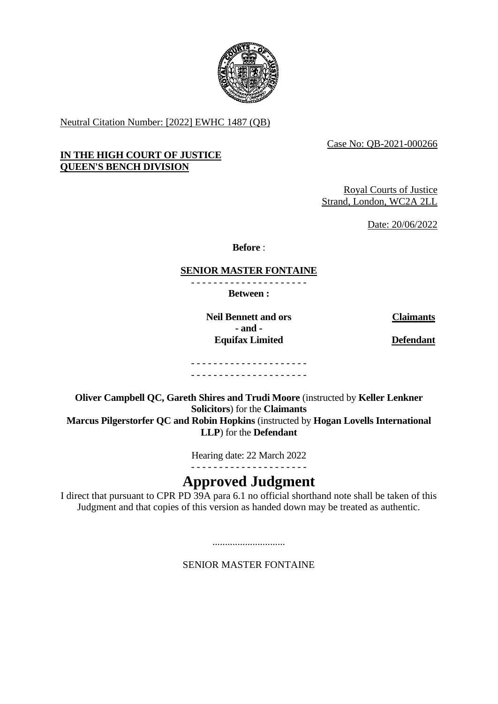

Neutral Citation Number: [2022] EWHC 1487 (QB)

Case No: QB-2021-000266

## **IN THE HIGH COURT OF JUSTICE QUEEN'S BENCH DIVISION**

Royal Courts of Justice Strand, London, WC2A 2LL

Date: 20/06/2022

**Before** :

#### **SENIOR MASTER FONTAINE** - - - - - - - - - - - - - - - - - - - - -

**Between :**

**Neil Bennett and ors Claimants - and - Equifax Limited Defendant**

- - - - - - - - - - - - - - - - - - - - - - - - - - - - - - - - - - - - - - - - - -

**Oliver Campbell QC, Gareth Shires and Trudi Moore** (instructed by **Keller Lenkner Solicitors**) for the **Claimants Marcus Pilgerstorfer QC and Robin Hopkins** (instructed by **Hogan Lovells International LLP**) for the **Defendant**

> Hearing date: 22 March 2022 - - - - - - - - - - - - - - - - - - - - -

# **Approved Judgment**

I direct that pursuant to CPR PD 39A para 6.1 no official shorthand note shall be taken of this Judgment and that copies of this version as handed down may be treated as authentic.

SENIOR MASTER FONTAINE

.............................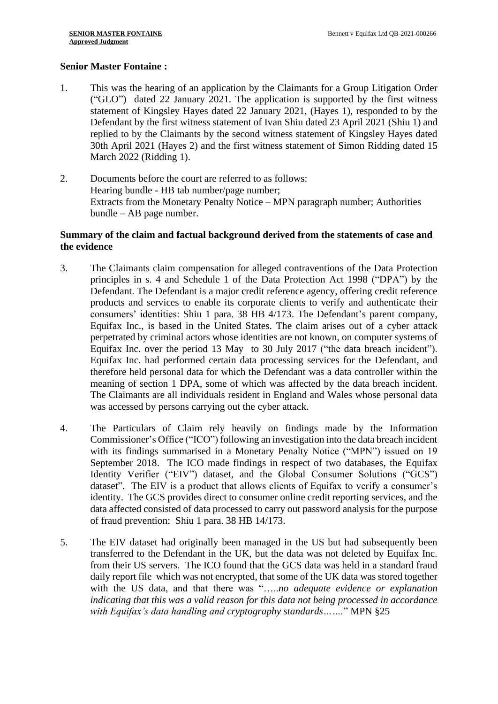#### **Senior Master Fontaine :**

- 1. This was the hearing of an application by the Claimants for a Group Litigation Order ("GLO") dated 22 January 2021. The application is supported by the first witness statement of Kingsley Hayes dated 22 January 2021, (Hayes 1), responded to by the Defendant by the first witness statement of Ivan Shiu dated 23 April 2021 (Shiu 1) and replied to by the Claimants by the second witness statement of Kingsley Hayes dated 30th April 2021 (Hayes 2) and the first witness statement of Simon Ridding dated 15 March 2022 (Ridding 1).
- 2. Documents before the court are referred to as follows: Hearing bundle - HB tab number/page number; Extracts from the Monetary Penalty Notice – MPN paragraph number; Authorities bundle – AB page number.

#### **Summary of the claim and factual background derived from the statements of case and the evidence**

- 3. The Claimants claim compensation for alleged contraventions of the Data Protection principles in s. 4 and Schedule 1 of the Data Protection Act 1998 ("DPA") by the Defendant. The Defendant is a major credit reference agency, offering credit reference products and services to enable its corporate clients to verify and authenticate their consumers' identities: Shiu 1 para. 38 HB 4/173. The Defendant's parent company, Equifax Inc., is based in the United States. The claim arises out of a cyber attack perpetrated by criminal actors whose identities are not known, on computer systems of Equifax Inc. over the period 13 May to 30 July 2017 ("the data breach incident"). Equifax Inc. had performed certain data processing services for the Defendant, and therefore held personal data for which the Defendant was a data controller within the meaning of section 1 DPA, some of which was affected by the data breach incident. The Claimants are all individuals resident in England and Wales whose personal data was accessed by persons carrying out the cyber attack.
- 4. The Particulars of Claim rely heavily on findings made by the Information Commissioner's Office ("ICO") following an investigation into the data breach incident with its findings summarised in a Monetary Penalty Notice ("MPN") issued on 19 September 2018. The ICO made findings in respect of two databases, the Equifax Identity Verifier ("EIV") dataset, and the Global Consumer Solutions ("GCS") dataset". The EIV is a product that allows clients of Equifax to verify a consumer's identity. The GCS provides direct to consumer online credit reporting services, and the data affected consisted of data processed to carry out password analysis for the purpose of fraud prevention: Shiu 1 para. 38 HB 14/173.
- 5. The EIV dataset had originally been managed in the US but had subsequently been transferred to the Defendant in the UK, but the data was not deleted by Equifax Inc. from their US servers. The ICO found that the GCS data was held in a standard fraud daily report file which was not encrypted, that some of the UK data was stored together with the US data, and that there was "…..*no adequate evidence or explanation indicating that this was a valid reason for this data not being processed in accordance with Equifax's data handling and cryptography standards…….*" MPN §25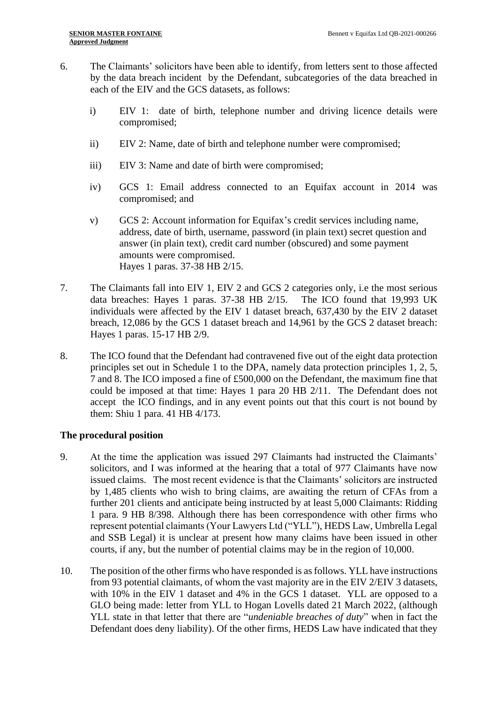- 6. The Claimants' solicitors have been able to identify, from letters sent to those affected by the data breach incident by the Defendant, subcategories of the data breached in each of the EIV and the GCS datasets, as follows:
	- i) EIV 1: date of birth, telephone number and driving licence details were compromised;
	- ii) EIV 2: Name, date of birth and telephone number were compromised;
	- iii) EIV 3: Name and date of birth were compromised;
	- iv) GCS 1: Email address connected to an Equifax account in 2014 was compromised; and
	- v) GCS 2: Account information for Equifax's credit services including name, address, date of birth, username, password (in plain text) secret question and answer (in plain text), credit card number (obscured) and some payment amounts were compromised. Hayes 1 paras. 37-38 HB 2/15.
- 7. The Claimants fall into EIV 1, EIV 2 and GCS 2 categories only, i.e the most serious data breaches: Hayes 1 paras. 37-38 HB 2/15. The ICO found that 19,993 UK individuals were affected by the EIV 1 dataset breach, 637,430 by the EIV 2 dataset breach, 12,086 by the GCS 1 dataset breach and 14,961 by the GCS 2 dataset breach: Hayes 1 paras. 15-17 HB 2/9.
- 8. The ICO found that the Defendant had contravened five out of the eight data protection principles set out in Schedule 1 to the DPA, namely data protection principles 1, 2, 5, 7 and 8. The ICO imposed a fine of £500,000 on the Defendant, the maximum fine that could be imposed at that time: Hayes 1 para 20 HB 2/11. The Defendant does not accept the ICO findings, and in any event points out that this court is not bound by them: Shiu 1 para. 41 HB 4/173.

## **The procedural position**

- 9. At the time the application was issued 297 Claimants had instructed the Claimants' solicitors, and I was informed at the hearing that a total of 977 Claimants have now issued claims. The most recent evidence is that the Claimants' solicitors are instructed by 1,485 clients who wish to bring claims, are awaiting the return of CFAs from a further 201 clients and anticipate being instructed by at least 5,000 Claimants: Ridding 1 para. 9 HB 8/398. Although there has been correspondence with other firms who represent potential claimants (Your Lawyers Ltd ("YLL"), HEDS Law, Umbrella Legal and SSB Legal) it is unclear at present how many claims have been issued in other courts, if any, but the number of potential claims may be in the region of 10,000.
- 10. The position of the other firms who have responded is as follows. YLL have instructions from 93 potential claimants, of whom the vast majority are in the EIV 2/EIV 3 datasets, with 10% in the EIV 1 dataset and 4% in the GCS 1 dataset. YLL are opposed to a GLO being made: letter from YLL to Hogan Lovells dated 21 March 2022, (although YLL state in that letter that there are "*undeniable breaches of duty*" when in fact the Defendant does deny liability). Of the other firms, HEDS Law have indicated that they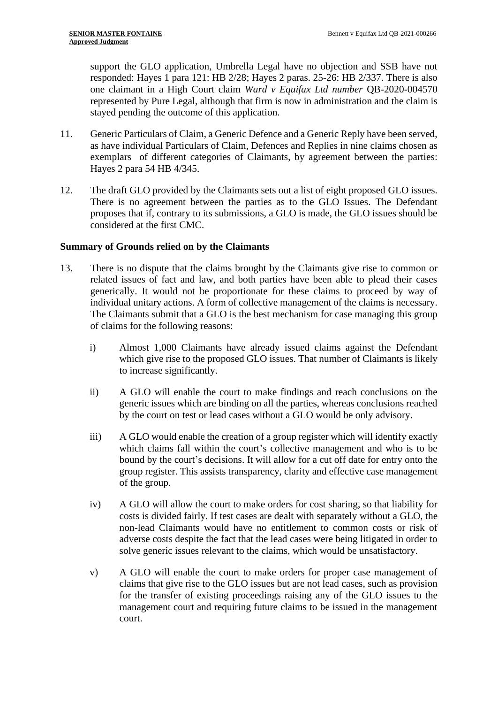support the GLO application, Umbrella Legal have no objection and SSB have not responded: Hayes 1 para 121: HB 2/28; Hayes 2 paras. 25-26: HB 2/337. There is also one claimant in a High Court claim *Ward v Equifax Ltd number* QB-2020-004570 represented by Pure Legal, although that firm is now in administration and the claim is stayed pending the outcome of this application.

- 11. Generic Particulars of Claim, a Generic Defence and a Generic Reply have been served, as have individual Particulars of Claim, Defences and Replies in nine claims chosen as exemplars of different categories of Claimants, by agreement between the parties: Hayes 2 para 54 HB 4/345.
- 12. The draft GLO provided by the Claimants sets out a list of eight proposed GLO issues. There is no agreement between the parties as to the GLO Issues. The Defendant proposes that if, contrary to its submissions, a GLO is made, the GLO issues should be considered at the first CMC.

#### **Summary of Grounds relied on by the Claimants**

- 13. There is no dispute that the claims brought by the Claimants give rise to common or related issues of fact and law, and both parties have been able to plead their cases generically. It would not be proportionate for these claims to proceed by way of individual unitary actions. A form of collective management of the claims is necessary. The Claimants submit that a GLO is the best mechanism for case managing this group of claims for the following reasons:
	- i) Almost 1,000 Claimants have already issued claims against the Defendant which give rise to the proposed GLO issues. That number of Claimants is likely to increase significantly.
	- ii) A GLO will enable the court to make findings and reach conclusions on the generic issues which are binding on all the parties, whereas conclusions reached by the court on test or lead cases without a GLO would be only advisory.
	- iii) A GLO would enable the creation of a group register which will identify exactly which claims fall within the court's collective management and who is to be bound by the court's decisions. It will allow for a cut off date for entry onto the group register. This assists transparency, clarity and effective case management of the group.
	- iv) A GLO will allow the court to make orders for cost sharing, so that liability for costs is divided fairly. If test cases are dealt with separately without a GLO, the non-lead Claimants would have no entitlement to common costs or risk of adverse costs despite the fact that the lead cases were being litigated in order to solve generic issues relevant to the claims, which would be unsatisfactory.
	- v) A GLO will enable the court to make orders for proper case management of claims that give rise to the GLO issues but are not lead cases, such as provision for the transfer of existing proceedings raising any of the GLO issues to the management court and requiring future claims to be issued in the management court.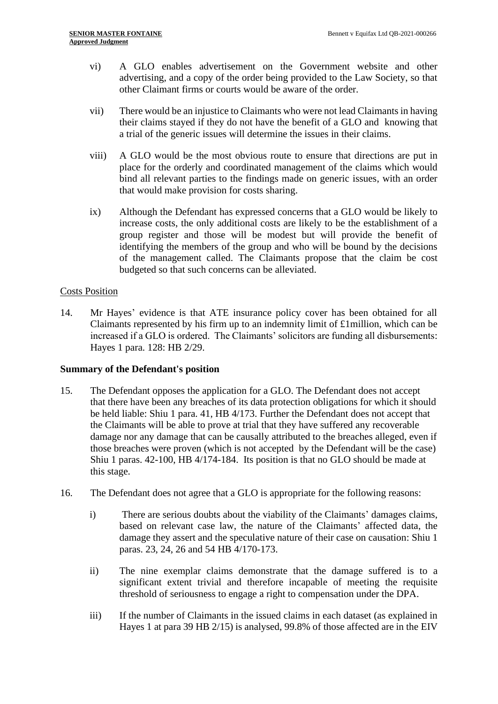- vi) A GLO enables advertisement on the Government website and other advertising, and a copy of the order being provided to the Law Society, so that other Claimant firms or courts would be aware of the order.
- vii) There would be an injustice to Claimants who were not lead Claimants in having their claims stayed if they do not have the benefit of a GLO and knowing that a trial of the generic issues will determine the issues in their claims.
- viii) A GLO would be the most obvious route to ensure that directions are put in place for the orderly and coordinated management of the claims which would bind all relevant parties to the findings made on generic issues, with an order that would make provision for costs sharing.
- ix) Although the Defendant has expressed concerns that a GLO would be likely to increase costs, the only additional costs are likely to be the establishment of a group register and those will be modest but will provide the benefit of identifying the members of the group and who will be bound by the decisions of the management called. The Claimants propose that the claim be cost budgeted so that such concerns can be alleviated.

## Costs Position

14. Mr Hayes' evidence is that ATE insurance policy cover has been obtained for all Claimants represented by his firm up to an indemnity limit of £1million, which can be increased if a GLO is ordered. The Claimants' solicitors are funding all disbursements: Hayes 1 para. 128: HB 2/29.

#### **Summary of the Defendant's position**

- 15. The Defendant opposes the application for a GLO. The Defendant does not accept that there have been any breaches of its data protection obligations for which it should be held liable: Shiu 1 para. 41, HB 4/173. Further the Defendant does not accept that the Claimants will be able to prove at trial that they have suffered any recoverable damage nor any damage that can be causally attributed to the breaches alleged, even if those breaches were proven (which is not accepted by the Defendant will be the case) Shiu 1 paras. 42-100, HB 4/174-184. Its position is that no GLO should be made at this stage.
- 16. The Defendant does not agree that a GLO is appropriate for the following reasons:
	- i) There are serious doubts about the viability of the Claimants' damages claims, based on relevant case law, the nature of the Claimants' affected data, the damage they assert and the speculative nature of their case on causation: Shiu 1 paras. 23, 24, 26 and 54 HB 4/170-173.
	- ii) The nine exemplar claims demonstrate that the damage suffered is to a significant extent trivial and therefore incapable of meeting the requisite threshold of seriousness to engage a right to compensation under the DPA.
	- iii) If the number of Claimants in the issued claims in each dataset (as explained in Hayes 1 at para 39 HB 2/15) is analysed, 99.8% of those affected are in the EIV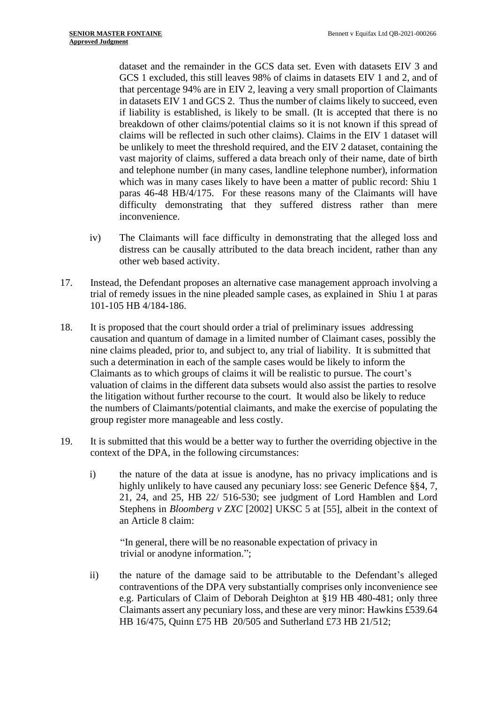dataset and the remainder in the GCS data set. Even with datasets EIV 3 and GCS 1 excluded, this still leaves 98% of claims in datasets EIV 1 and 2, and of that percentage 94% are in EIV 2, leaving a very small proportion of Claimants in datasets EIV 1 and GCS 2. Thus the number of claims likely to succeed, even if liability is established, is likely to be small. (It is accepted that there is no breakdown of other claims/potential claims so it is not known if this spread of claims will be reflected in such other claims). Claims in the EIV 1 dataset will be unlikely to meet the threshold required, and the EIV 2 dataset, containing the vast majority of claims, suffered a data breach only of their name, date of birth and telephone number (in many cases, landline telephone number), information which was in many cases likely to have been a matter of public record: Shiu 1 paras 46-48 HB/4/175. For these reasons many of the Claimants will have difficulty demonstrating that they suffered distress rather than mere inconvenience.

- iv) The Claimants will face difficulty in demonstrating that the alleged loss and distress can be causally attributed to the data breach incident, rather than any other web based activity.
- 17. Instead, the Defendant proposes an alternative case management approach involving a trial of remedy issues in the nine pleaded sample cases, as explained in Shiu 1 at paras 101-105 HB 4/184-186.
- 18. It is proposed that the court should order a trial of preliminary issues addressing causation and quantum of damage in a limited number of Claimant cases, possibly the nine claims pleaded, prior to, and subject to, any trial of liability. It is submitted that such a determination in each of the sample cases would be likely to inform the Claimants as to which groups of claims it will be realistic to pursue. The court's valuation of claims in the different data subsets would also assist the parties to resolve the litigation without further recourse to the court. It would also be likely to reduce the numbers of Claimants/potential claimants, and make the exercise of populating the group register more manageable and less costly.
- 19. It is submitted that this would be a better way to further the overriding objective in the context of the DPA, in the following circumstances:
	- i) the nature of the data at issue is anodyne, has no privacy implications and is highly unlikely to have caused any pecuniary loss: see Generic Defence §§4, 7, 21, 24, and 25, HB 22/ 516-530; see judgment of Lord Hamblen and Lord Stephens in *Bloomberg v ZXC* [2002] UKSC 5 at [55], albeit in the context of an Article 8 claim:

"In general, there will be no reasonable expectation of privacy in trivial or anodyne information.";

ii) the nature of the damage said to be attributable to the Defendant's alleged contraventions of the DPA very substantially comprises only inconvenience see e.g. Particulars of Claim of Deborah Deighton at §19 HB 480-481; only three Claimants assert any pecuniary loss, and these are very minor: Hawkins £539.64 HB 16/475, Quinn £75 HB 20/505 and Sutherland £73 HB 21/512;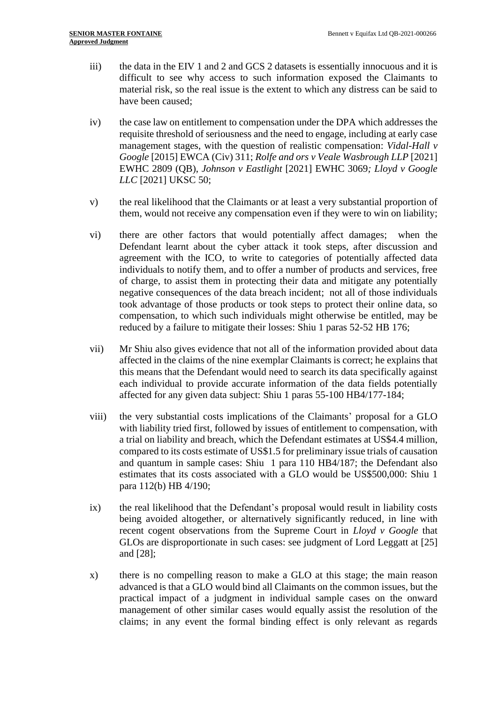- iii) the data in the EIV 1 and 2 and GCS 2 datasets is essentially innocuous and it is difficult to see why access to such information exposed the Claimants to material risk, so the real issue is the extent to which any distress can be said to have been caused;
- iv) the case law on entitlement to compensation under the DPA which addresses the requisite threshold of seriousness and the need to engage, including at early case management stages, with the question of realistic compensation: *Vidal-Hall v Google* [2015] EWCA (Civ) 311; *Rolfe and ors v Veale Wasbrough LLP* [2021] EWHC 2809 (QB), *Johnson v Eastlight* [2021] EWHC 3069*; Lloyd v Google LLC* [2021] UKSC 50;
- v) the real likelihood that the Claimants or at least a very substantial proportion of them, would not receive any compensation even if they were to win on liability;
- vi) there are other factors that would potentially affect damages; when the Defendant learnt about the cyber attack it took steps, after discussion and agreement with the ICO, to write to categories of potentially affected data individuals to notify them, and to offer a number of products and services, free of charge, to assist them in protecting their data and mitigate any potentially negative consequences of the data breach incident; not all of those individuals took advantage of those products or took steps to protect their online data, so compensation, to which such individuals might otherwise be entitled, may be reduced by a failure to mitigate their losses: Shiu 1 paras 52-52 HB 176;
- vii) Mr Shiu also gives evidence that not all of the information provided about data affected in the claims of the nine exemplar Claimants is correct; he explains that this means that the Defendant would need to search its data specifically against each individual to provide accurate information of the data fields potentially affected for any given data subject: Shiu 1 paras 55-100 HB4/177-184;
- viii) the very substantial costs implications of the Claimants' proposal for a GLO with liability tried first, followed by issues of entitlement to compensation, with a trial on liability and breach, which the Defendant estimates at US\$4.4 million, compared to its costs estimate of US\$1.5 for preliminary issue trials of causation and quantum in sample cases: Shiu 1 para 110 HB4/187; the Defendant also estimates that its costs associated with a GLO would be US\$500,000: Shiu 1 para 112(b) HB 4/190;
- ix) the real likelihood that the Defendant's proposal would result in liability costs being avoided altogether, or alternatively significantly reduced, in line with recent cogent observations from the Supreme Court in *Lloyd v Google* that GLOs are disproportionate in such cases: see judgment of Lord Leggatt at [25] and [28];
- x) there is no compelling reason to make a GLO at this stage; the main reason advanced is that a GLO would bind all Claimants on the common issues, but the practical impact of a judgment in individual sample cases on the onward management of other similar cases would equally assist the resolution of the claims; in any event the formal binding effect is only relevant as regards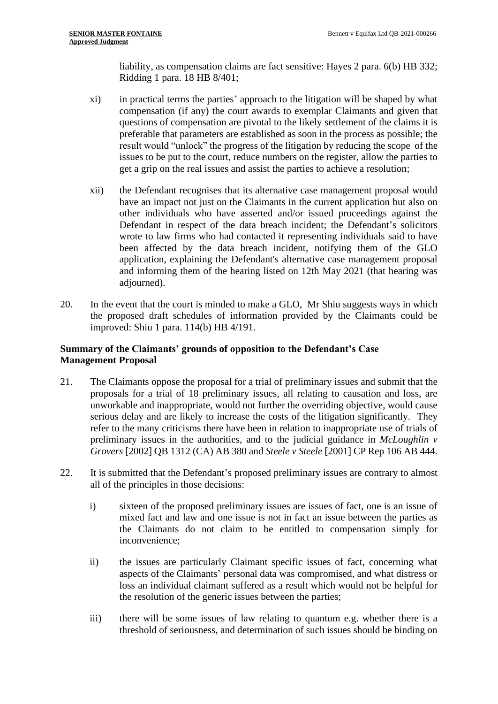liability, as compensation claims are fact sensitive: Hayes 2 para. 6(b) HB 332; Ridding 1 para. 18 HB 8/401;

- xi) in practical terms the parties' approach to the litigation will be shaped by what compensation (if any) the court awards to exemplar Claimants and given that questions of compensation are pivotal to the likely settlement of the claims it is preferable that parameters are established as soon in the process as possible; the result would "unlock" the progress of the litigation by reducing the scope of the issues to be put to the court, reduce numbers on the register, allow the parties to get a grip on the real issues and assist the parties to achieve a resolution;
- xii) the Defendant recognises that its alternative case management proposal would have an impact not just on the Claimants in the current application but also on other individuals who have asserted and/or issued proceedings against the Defendant in respect of the data breach incident; the Defendant's solicitors wrote to law firms who had contacted it representing individuals said to have been affected by the data breach incident, notifying them of the GLO application, explaining the Defendant's alternative case management proposal and informing them of the hearing listed on 12th May 2021 (that hearing was adjourned).
- 20. In the event that the court is minded to make a GLO, Mr Shiu suggests ways in which the proposed draft schedules of information provided by the Claimants could be improved: Shiu 1 para. 114(b) HB 4/191.

# **Summary of the Claimants' grounds of opposition to the Defendant's Case Management Proposal**

- 21. The Claimants oppose the proposal for a trial of preliminary issues and submit that the proposals for a trial of 18 preliminary issues, all relating to causation and loss, are unworkable and inappropriate, would not further the overriding objective, would cause serious delay and are likely to increase the costs of the litigation significantly. They refer to the many criticisms there have been in relation to inappropriate use of trials of preliminary issues in the authorities, and to the judicial guidance in *McLoughlin v Grovers* [2002] QB 1312 (CA) AB 380 and *Steele v Steele* [2001] CP Rep 106 AB 444.
- 22. It is submitted that the Defendant's proposed preliminary issues are contrary to almost all of the principles in those decisions:
	- i) sixteen of the proposed preliminary issues are issues of fact, one is an issue of mixed fact and law and one issue is not in fact an issue between the parties as the Claimants do not claim to be entitled to compensation simply for inconvenience;
	- ii) the issues are particularly Claimant specific issues of fact, concerning what aspects of the Claimants' personal data was compromised, and what distress or loss an individual claimant suffered as a result which would not be helpful for the resolution of the generic issues between the parties;
	- iii) there will be some issues of law relating to quantum e.g. whether there is a threshold of seriousness, and determination of such issues should be binding on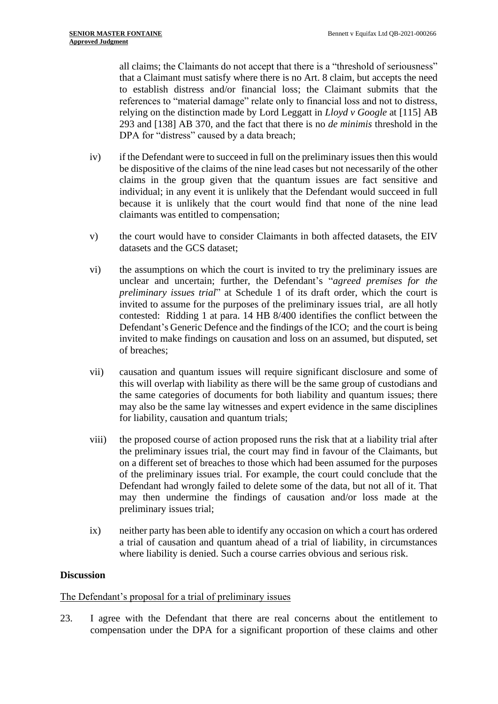all claims; the Claimants do not accept that there is a "threshold of seriousness" that a Claimant must satisfy where there is no Art. 8 claim, but accepts the need to establish distress and/or financial loss; the Claimant submits that the references to "material damage" relate only to financial loss and not to distress, relying on the distinction made by Lord Leggatt in *Lloyd v Google* at [115] AB 293 and [138] AB 370, and the fact that there is no *de minimis* threshold in the DPA for "distress" caused by a data breach;

- iv) if the Defendant were to succeed in full on the preliminary issues then this would be dispositive of the claims of the nine lead cases but not necessarily of the other claims in the group given that the quantum issues are fact sensitive and individual; in any event it is unlikely that the Defendant would succeed in full because it is unlikely that the court would find that none of the nine lead claimants was entitled to compensation;
- v) the court would have to consider Claimants in both affected datasets, the EIV datasets and the GCS dataset;
- vi) the assumptions on which the court is invited to try the preliminary issues are unclear and uncertain; further, the Defendant's "*agreed premises for the preliminary issues trial*" at Schedule 1 of its draft order, which the court is invited to assume for the purposes of the preliminary issues trial, are all hotly contested: Ridding 1 at para. 14 HB 8/400 identifies the conflict between the Defendant's Generic Defence and the findings of the ICO; and the court is being invited to make findings on causation and loss on an assumed, but disputed, set of breaches;
- vii) causation and quantum issues will require significant disclosure and some of this will overlap with liability as there will be the same group of custodians and the same categories of documents for both liability and quantum issues; there may also be the same lay witnesses and expert evidence in the same disciplines for liability, causation and quantum trials;
- viii) the proposed course of action proposed runs the risk that at a liability trial after the preliminary issues trial, the court may find in favour of the Claimants, but on a different set of breaches to those which had been assumed for the purposes of the preliminary issues trial. For example, the court could conclude that the Defendant had wrongly failed to delete some of the data, but not all of it. That may then undermine the findings of causation and/or loss made at the preliminary issues trial;
- ix) neither party has been able to identify any occasion on which a court has ordered a trial of causation and quantum ahead of a trial of liability, in circumstances where liability is denied. Such a course carries obvious and serious risk.

# **Discussion**

# The Defendant's proposal for a trial of preliminary issues

23. I agree with the Defendant that there are real concerns about the entitlement to compensation under the DPA for a significant proportion of these claims and other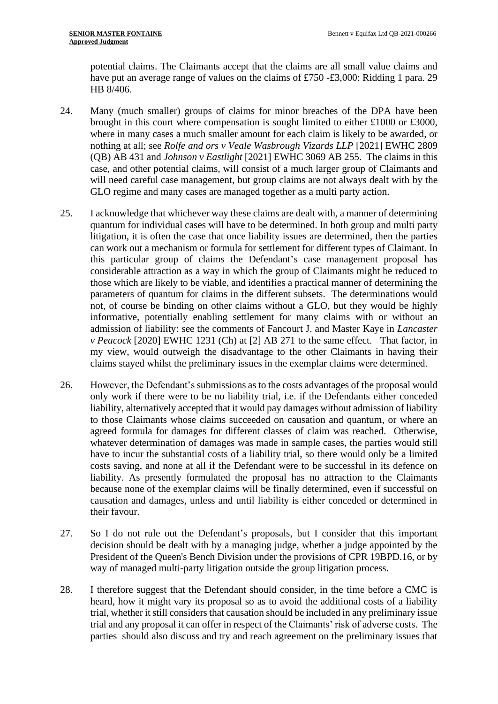potential claims. The Claimants accept that the claims are all small value claims and have put an average range of values on the claims of £750 -£3,000: Ridding 1 para. 29 HB 8/406.

- 24. Many (much smaller) groups of claims for minor breaches of the DPA have been brought in this court where compensation is sought limited to either £1000 or £3000, where in many cases a much smaller amount for each claim is likely to be awarded, or nothing at all; see *Rolfe and ors v Veale Wasbrough Vizards LLP* [2021] EWHC 2809 (QB) AB 431 and *Johnson v Eastlight* [2021] EWHC 3069 AB 255. The claims in this case, and other potential claims, will consist of a much larger group of Claimants and will need careful case management, but group claims are not always dealt with by the GLO regime and many cases are managed together as a multi party action.
- 25. I acknowledge that whichever way these claims are dealt with, a manner of determining quantum for individual cases will have to be determined. In both group and multi party litigation, it is often the case that once liability issues are determined, then the parties can work out a mechanism or formula for settlement for different types of Claimant. In this particular group of claims the Defendant's case management proposal has considerable attraction as a way in which the group of Claimants might be reduced to those which are likely to be viable, and identifies a practical manner of determining the parameters of quantum for claims in the different subsets. The determinations would not, of course be binding on other claims without a GLO, but they would be highly informative, potentially enabling settlement for many claims with or without an admission of liability: see the comments of Fancourt J. and Master Kaye in *Lancaster v Peacock* [2020] EWHC 1231 (Ch) at [2] AB 271 to the same effect. That factor, in my view, would outweigh the disadvantage to the other Claimants in having their claims stayed whilst the preliminary issues in the exemplar claims were determined.
- 26. However, the Defendant's submissions as to the costs advantages of the proposal would only work if there were to be no liability trial, i.e. if the Defendants either conceded liability, alternatively accepted that it would pay damages without admission of liability to those Claimants whose claims succeeded on causation and quantum, or where an agreed formula for damages for different classes of claim was reached. Otherwise, whatever determination of damages was made in sample cases, the parties would still have to incur the substantial costs of a liability trial, so there would only be a limited costs saving, and none at all if the Defendant were to be successful in its defence on liability. As presently formulated the proposal has no attraction to the Claimants because none of the exemplar claims will be finally determined, even if successful on causation and damages, unless and until liability is either conceded or determined in their favour.
- 27. So I do not rule out the Defendant's proposals, but I consider that this important decision should be dealt with by a managing judge, whether a judge appointed by the President of the Queen's Bench Division under the provisions of CPR 19BPD.16, or by way of managed multi-party litigation outside the group litigation process.
- 28. I therefore suggest that the Defendant should consider, in the time before a CMC is heard, how it might vary its proposal so as to avoid the additional costs of a liability trial, whether it still considers that causation should be included in any preliminary issue trial and any proposal it can offer in respect of the Claimants' risk of adverse costs. The parties should also discuss and try and reach agreement on the preliminary issues that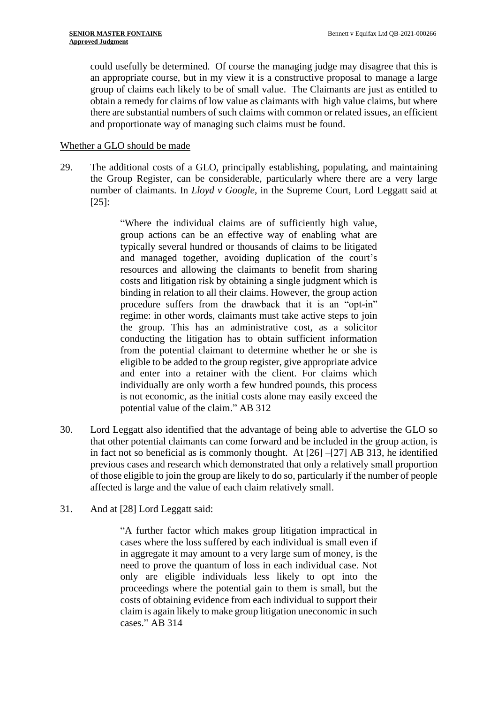could usefully be determined. Of course the managing judge may disagree that this is an appropriate course, but in my view it is a constructive proposal to manage a large group of claims each likely to be of small value. The Claimants are just as entitled to obtain a remedy for claims of low value as claimants with high value claims, but where there are substantial numbers of such claims with common or related issues, an efficient and proportionate way of managing such claims must be found.

#### Whether a GLO should be made

29. The additional costs of a GLO, principally establishing, populating, and maintaining the Group Register, can be considerable, particularly where there are a very large number of claimants. In *Lloyd v Google*, in the Supreme Court, Lord Leggatt said at [25]:

> "Where the individual claims are of sufficiently high value, group actions can be an effective way of enabling what are typically several hundred or thousands of claims to be litigated and managed together, avoiding duplication of the court's resources and allowing the claimants to benefit from sharing costs and litigation risk by obtaining a single judgment which is binding in relation to all their claims. However, the group action procedure suffers from the drawback that it is an "opt-in" regime: in other words, claimants must take active steps to join the group. This has an administrative cost, as a solicitor conducting the litigation has to obtain sufficient information from the potential claimant to determine whether he or she is eligible to be added to the group register, give appropriate advice and enter into a retainer with the client. For claims which individually are only worth a few hundred pounds, this process is not economic, as the initial costs alone may easily exceed the potential value of the claim." AB 312

- 30. Lord Leggatt also identified that the advantage of being able to advertise the GLO so that other potential claimants can come forward and be included in the group action, is in fact not so beneficial as is commonly thought. At [26] –[27] AB 313, he identified previous cases and research which demonstrated that only a relatively small proportion of those eligible to join the group are likely to do so, particularly if the number of people affected is large and the value of each claim relatively small.
- 31. And at [28] Lord Leggatt said:

"A further factor which makes group litigation impractical in cases where the loss suffered by each individual is small even if in aggregate it may amount to a very large sum of money, is the need to prove the quantum of loss in each individual case. Not only are eligible individuals less likely to opt into the proceedings where the potential gain to them is small, but the costs of obtaining evidence from each individual to support their claim is again likely to make group litigation uneconomic in such cases." AB 314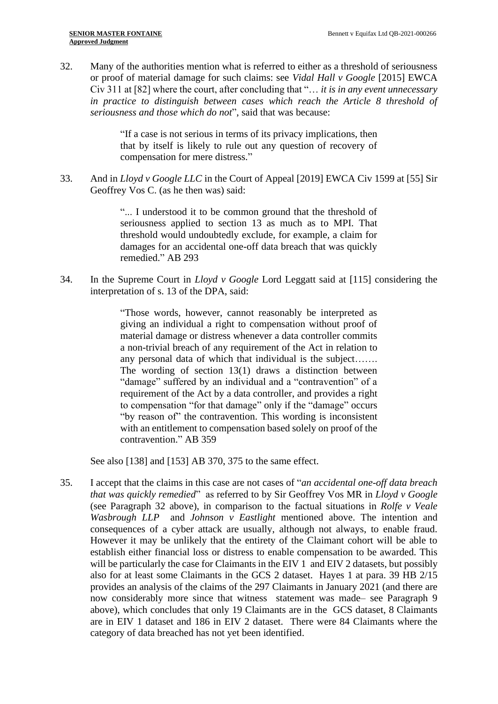32. Many of the authorities mention what is referred to either as a threshold of seriousness or proof of material damage for such claims: see *Vidal Hall v Google* [2015] EWCA Civ 311 at [82] where the court, after concluding that "… *it is in any event unnecessary in practice to distinguish between cases which reach the Article 8 threshold of seriousness and those which do not*", said that was because:

> "If a case is not serious in terms of its privacy implications, then that by itself is likely to rule out any question of recovery of compensation for mere distress."

33. And in *Lloyd v Google LLC* in the Court of Appeal [2019] EWCA Civ 1599 at [55] Sir Geoffrey Vos C. (as he then was) said:

> "... I understood it to be common ground that the threshold of seriousness applied to section 13 as much as to MPI. That threshold would undoubtedly exclude, for example, a claim for damages for an accidental one-off data breach that was quickly remedied." AB 293

34. In the Supreme Court in *Lloyd v Google* Lord Leggatt said at [115] considering the interpretation of s. 13 of the DPA, said:

> "Those words, however, cannot reasonably be interpreted as giving an individual a right to compensation without proof of material damage or distress whenever a data controller commits a non-trivial breach of any requirement of the Act in relation to any personal data of which that individual is the subject……. The wording of section 13(1) draws a distinction between "damage" suffered by an individual and a "contravention" of a requirement of the Act by a data controller, and provides a right to compensation "for that damage" only if the "damage" occurs "by reason of" the contravention. This wording is inconsistent with an entitlement to compensation based solely on proof of the contravention." AB 359

See also [138] and [153] AB 370, 375 to the same effect.

35. I accept that the claims in this case are not cases of "*an accidental one-off data breach that was quickly remedied*" as referred to by Sir Geoffrey Vos MR in *Lloyd v Google* (see Paragraph 32 above), in comparison to the factual situations in *Rolfe v Veale Wasbrough LLP* and *Johnson v Eastlight* mentioned above. The intention and consequences of a cyber attack are usually, although not always, to enable fraud. However it may be unlikely that the entirety of the Claimant cohort will be able to establish either financial loss or distress to enable compensation to be awarded. This will be particularly the case for Claimants in the EIV 1 and EIV 2 datasets, but possibly also for at least some Claimants in the GCS 2 dataset. Hayes 1 at para. 39 HB 2/15 provides an analysis of the claims of the 297 Claimants in January 2021 (and there are now considerably more since that witness statement was made– see Paragraph 9 above), which concludes that only 19 Claimants are in the GCS dataset, 8 Claimants are in EIV 1 dataset and 186 in EIV 2 dataset. There were 84 Claimants where the category of data breached has not yet been identified.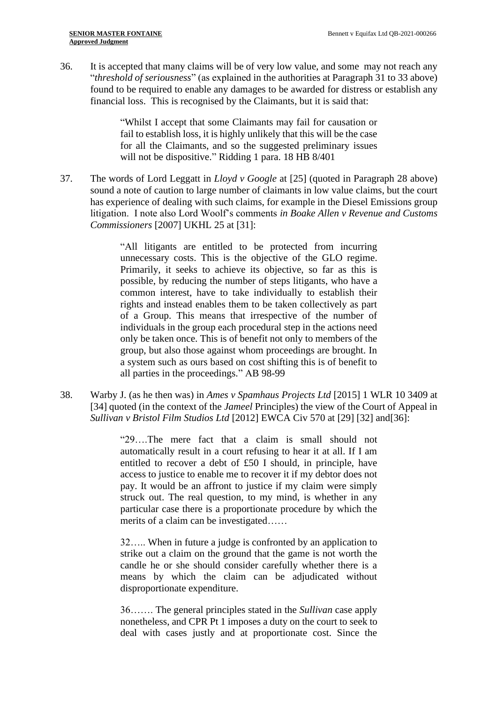36. It is accepted that many claims will be of very low value, and some may not reach any "*threshold of seriousness*" (as explained in the authorities at Paragraph 31 to 33 above) found to be required to enable any damages to be awarded for distress or establish any financial loss. This is recognised by the Claimants, but it is said that:

> "Whilst I accept that some Claimants may fail for causation or fail to establish loss, it is highly unlikely that this will be the case for all the Claimants, and so the suggested preliminary issues will not be dispositive." Ridding 1 para. 18 HB 8/401

37. The words of Lord Leggatt in *Lloyd v Google* at [25] (quoted in Paragraph 28 above) sound a note of caution to large number of claimants in low value claims, but the court has experience of dealing with such claims, for example in the Diesel Emissions group litigation. I note also Lord Woolf's comments *in Boake Allen v Revenue and Customs Commissioners* [2007] UKHL 25 at [31]:

> "All litigants are entitled to be protected from incurring unnecessary costs. This is the objective of the GLO regime. Primarily, it seeks to achieve its objective, so far as this is possible, by reducing the number of steps litigants, who have a common interest, have to take individually to establish their rights and instead enables them to be taken collectively as part of a Group. This means that irrespective of the number of individuals in the group each procedural step in the actions need only be taken once. This is of benefit not only to members of the group, but also those against whom proceedings are brought. In a system such as ours based on cost shifting this is of benefit to all parties in the proceedings." AB 98-99

38. Warby J. (as he then was) in *Ames v Spamhaus Projects Ltd* [2015] 1 WLR 10 3409 at [34] quoted (in the context of the *Jameel* Principles) the view of the Court of Appeal in *Sullivan v Bristol Film Studios Ltd* [2012] EWCA Civ 570 at [29] [32] and[36]:

> "29….The mere fact that a claim is small should not automatically result in a court refusing to hear it at all. If I am entitled to recover a debt of £50 I should, in principle, have access to justice to enable me to recover it if my debtor does not pay. It would be an affront to justice if my claim were simply struck out. The real question, to my mind, is whether in any particular case there is a proportionate procedure by which the merits of a claim can be investigated……

> 32….. When in future a judge is confronted by an application to strike out a claim on the ground that the game is not worth the candle he or she should consider carefully whether there is a means by which the claim can be adjudicated without disproportionate expenditure.

> 36……. The general principles stated in the *Sullivan* case apply nonetheless, and CPR Pt 1 imposes a duty on the court to seek to deal with cases justly and at proportionate cost. Since the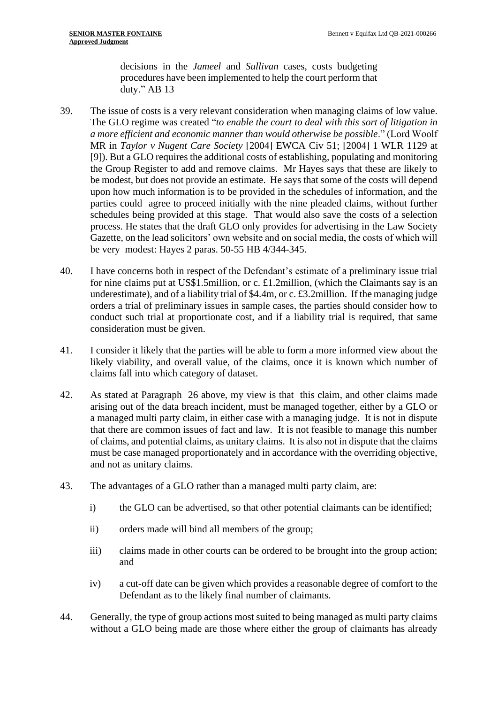decisions in the *Jameel* and *Sullivan* cases, costs budgeting procedures have been implemented to help the court perform that duty." AB 13

- 39. The issue of costs is a very relevant consideration when managing claims of low value. The GLO regime was created "*to enable the court to deal with this sort of litigation in a more efficient and economic manner than would otherwise be possible*." (Lord Woolf MR in *Taylor v Nugent Care Society* [2004] EWCA Civ 51; [2004] 1 WLR 1129 at [9]). But a GLO requires the additional costs of establishing, populating and monitoring the Group Register to add and remove claims. Mr Hayes says that these are likely to be modest, but does not provide an estimate. He says that some of the costs will depend upon how much information is to be provided in the schedules of information, and the parties could agree to proceed initially with the nine pleaded claims, without further schedules being provided at this stage. That would also save the costs of a selection process. He states that the draft GLO only provides for advertising in the Law Society Gazette, on the lead solicitors' own website and on social media, the costs of which will be very modest: Hayes 2 paras. 50-55 HB 4/344-345.
- 40. I have concerns both in respect of the Defendant's estimate of a preliminary issue trial for nine claims put at US\$1.5million, or c. £1.2million, (which the Claimants say is an underestimate), and of a liability trial of \$4.4m, or c. £3.2million. If the managing judge orders a trial of preliminary issues in sample cases, the parties should consider how to conduct such trial at proportionate cost, and if a liability trial is required, that same consideration must be given.
- 41. I consider it likely that the parties will be able to form a more informed view about the likely viability, and overall value, of the claims, once it is known which number of claims fall into which category of dataset.
- 42. As stated at Paragraph 26 above, my view is that this claim, and other claims made arising out of the data breach incident, must be managed together, either by a GLO or a managed multi party claim, in either case with a managing judge. It is not in dispute that there are common issues of fact and law. It is not feasible to manage this number of claims, and potential claims, as unitary claims. It is also not in dispute that the claims must be case managed proportionately and in accordance with the overriding objective, and not as unitary claims.
- 43. The advantages of a GLO rather than a managed multi party claim, are:
	- i) the GLO can be advertised, so that other potential claimants can be identified;
	- ii) orders made will bind all members of the group;
	- iii) claims made in other courts can be ordered to be brought into the group action; and
	- iv) a cut-off date can be given which provides a reasonable degree of comfort to the Defendant as to the likely final number of claimants.
- 44. Generally, the type of group actions most suited to being managed as multi party claims without a GLO being made are those where either the group of claimants has already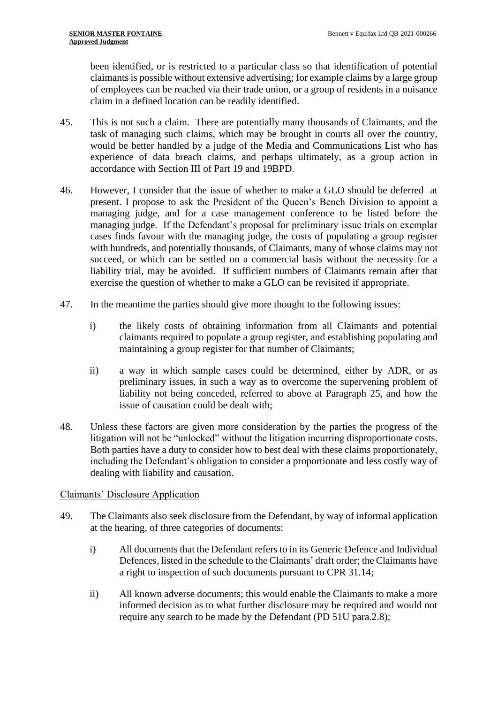been identified, or is restricted to a particular class so that identification of potential claimants is possible without extensive advertising; for example claims by a large group of employees can be reached via their trade union, or a group of residents in a nuisance claim in a defined location can be readily identified.

- 45. This is not such a claim. There are potentially many thousands of Claimants, and the task of managing such claims, which may be brought in courts all over the country, would be better handled by a judge of the Media and Communications List who has experience of data breach claims, and perhaps ultimately, as a group action in accordance with Section III of Part 19 and 19BPD.
- 46. However, I consider that the issue of whether to make a GLO should be deferred at present. I propose to ask the President of the Queen's Bench Division to appoint a managing judge, and for a case management conference to be listed before the managing judge. If the Defendant's proposal for preliminary issue trials on exemplar cases finds favour with the managing judge, the costs of populating a group register with hundreds, and potentially thousands, of Claimants, many of whose claims may not succeed, or which can be settled on a commercial basis without the necessity for a liability trial, may be avoided. If sufficient numbers of Claimants remain after that exercise the question of whether to make a GLO can be revisited if appropriate.
- 47. In the meantime the parties should give more thought to the following issues:
	- i) the likely costs of obtaining information from all Claimants and potential claimants required to populate a group register, and establishing populating and maintaining a group register for that number of Claimants;
	- ii) a way in which sample cases could be determined, either by ADR, or as preliminary issues, in such a way as to overcome the supervening problem of liability not being conceded, referred to above at Paragraph 25, and how the issue of causation could be dealt with;
- 48. Unless these factors are given more consideration by the parties the progress of the litigation will not be "unlocked" without the litigation incurring disproportionate costs. Both parties have a duty to consider how to best deal with these claims proportionately, including the Defendant's obligation to consider a proportionate and less costly way of dealing with liability and causation.

# Claimants' Disclosure Application

- 49. The Claimants also seek disclosure from the Defendant, by way of informal application at the hearing, of three categories of documents:
	- i) All documents that the Defendant refers to in its Generic Defence and Individual Defences, listed in the schedule to the Claimants' draft order; the Claimants have a right to inspection of such documents pursuant to CPR 31.14;
	- ii) All known adverse documents; this would enable the Claimants to make a more informed decision as to what further disclosure may be required and would not require any search to be made by the Defendant (PD 51U para.2.8);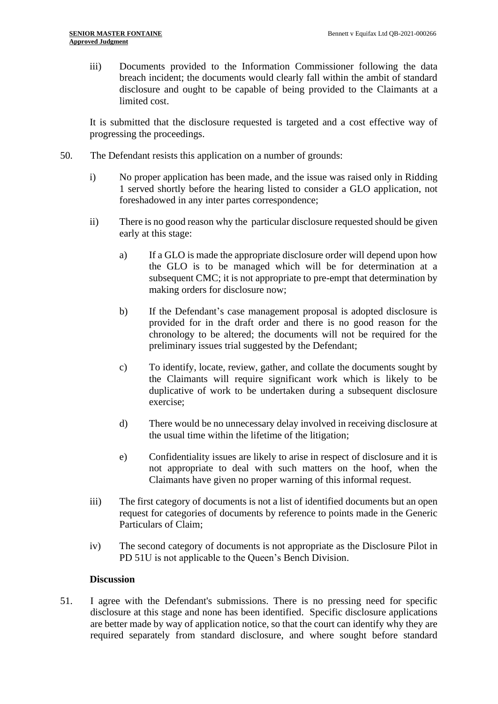iii) Documents provided to the Information Commissioner following the data breach incident; the documents would clearly fall within the ambit of standard disclosure and ought to be capable of being provided to the Claimants at a limited cost.

It is submitted that the disclosure requested is targeted and a cost effective way of progressing the proceedings.

- 50. The Defendant resists this application on a number of grounds:
	- i) No proper application has been made, and the issue was raised only in Ridding 1 served shortly before the hearing listed to consider a GLO application, not foreshadowed in any inter partes correspondence;
	- ii) There is no good reason why the particular disclosure requested should be given early at this stage:
		- a) If a GLO is made the appropriate disclosure order will depend upon how the GLO is to be managed which will be for determination at a subsequent CMC; it is not appropriate to pre-empt that determination by making orders for disclosure now;
		- b) If the Defendant's case management proposal is adopted disclosure is provided for in the draft order and there is no good reason for the chronology to be altered; the documents will not be required for the preliminary issues trial suggested by the Defendant;
		- c) To identify, locate, review, gather, and collate the documents sought by the Claimants will require significant work which is likely to be duplicative of work to be undertaken during a subsequent disclosure exercise;
		- d) There would be no unnecessary delay involved in receiving disclosure at the usual time within the lifetime of the litigation;
		- e) Confidentiality issues are likely to arise in respect of disclosure and it is not appropriate to deal with such matters on the hoof, when the Claimants have given no proper warning of this informal request.
	- iii) The first category of documents is not a list of identified documents but an open request for categories of documents by reference to points made in the Generic Particulars of Claim;
	- iv) The second category of documents is not appropriate as the Disclosure Pilot in PD 51U is not applicable to the Queen's Bench Division.

#### **Discussion**

51. I agree with the Defendant's submissions. There is no pressing need for specific disclosure at this stage and none has been identified. Specific disclosure applications are better made by way of application notice, so that the court can identify why they are required separately from standard disclosure, and where sought before standard